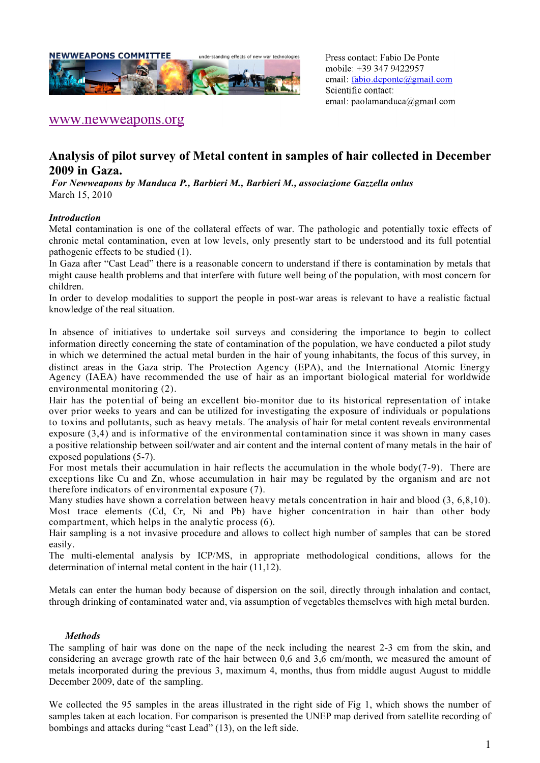

Press contact: Fabio De Ponte mobile: +39 347 9422957 email: fabio.deponte@gmail.com Scientific contact: email: paolamanduca@gmail.com

## www.newweapons.org

# **Analysis of pilot survey of Metal content in samples of hair collected in December 2009 in Gaza.**

 *For Newweapons by Manduca P., Barbieri M., Barbieri M., associazione Gazzella onlus* March 15, 2010

#### *Introduction*

Metal contamination is one of the collateral effects of war. The pathologic and potentially toxic effects of chronic metal contamination, even at low levels, only presently start to be understood and its full potential pathogenic effects to be studied (1).

In Gaza after "Cast Lead" there is a reasonable concern to understand if there is contamination by metals that might cause health problems and that interfere with future well being of the population, with most concern for children.

In order to develop modalities to support the people in post-war areas is relevant to have a realistic factual knowledge of the real situation.

In absence of initiatives to undertake soil surveys and considering the importance to begin to collect information directly concerning the state of contamination of the population, we have conducted a pilot study in which we determined the actual metal burden in the hair of young inhabitants, the focus of this survey, in distinct areas in the Gaza strip. The Protection Agency (EPA), and the International Atomic Energy Agency (IAEA) have recommended the use of hair as an important biological material for worldwide environmental monitoring (2).

Hair has the potential of being an excellent bio-monitor due to its historical representation of intake over prior weeks to years and can be utilized for investigating the exposure of individuals or populations to toxins and pollutants, such as heavy metals. The analysis of hair for metal content reveals environmental exposure (3,4) and is informative of the environmental contamination since it was shown in many cases a positive relationship between soil/water and air content and the internal content of many metals in the hair of exposed populations (5-7).

For most metals their accumulation in hair reflects the accumulation in the whole body(7-9). There are exceptions like Cu and Zn, whose accumulation in hair may be regulated by the organism and are not therefore indicators of environmental exposure (7).

Many studies have shown a correlation between heavy metals concentration in hair and blood (3, 6,8,10). Most trace elements (Cd, Cr, Ni and Pb) have higher concentration in hair than other body compartment, which helps in the analytic process (6).

Hair sampling is a not invasive procedure and allows to collect high number of samples that can be stored easily.

The multi-elemental analysis by ICP/MS, in appropriate methodological conditions, allows for the determination of internal metal content in the hair (11,12).

Metals can enter the human body because of dispersion on the soil, directly through inhalation and contact, through drinking of contaminated water and, via assumption of vegetables themselves with high metal burden.

#### *Methods*

The sampling of hair was done on the nape of the neck including the nearest 2-3 cm from the skin, and considering an average growth rate of the hair between 0,6 and 3,6 cm/month, we measured the amount of metals incorporated during the previous 3, maximum 4, months, thus from middle august August to middle December 2009, date of the sampling.

We collected the 95 samples in the areas illustrated in the right side of Fig 1, which shows the number of samples taken at each location. For comparison is presented the UNEP map derived from satellite recording of bombings and attacks during "cast Lead" (13), on the left side.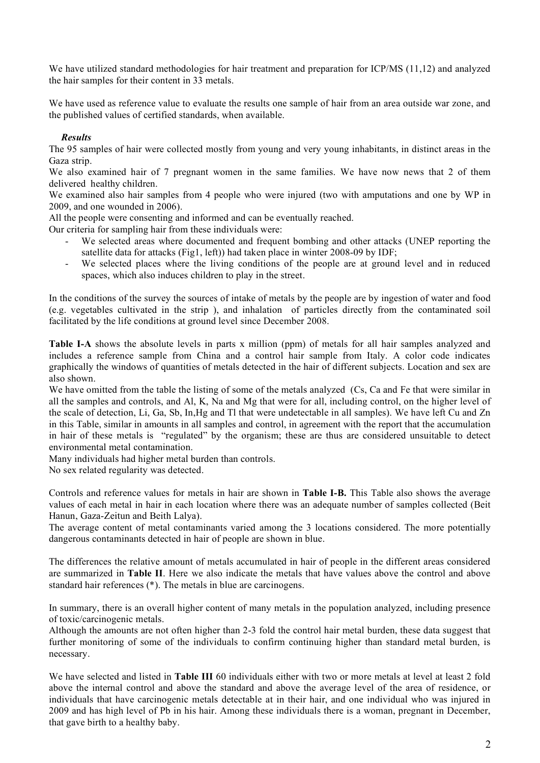We have utilized standard methodologies for hair treatment and preparation for ICP/MS (11,12) and analyzed the hair samples for their content in 33 metals.

We have used as reference value to evaluate the results one sample of hair from an area outside war zone, and the published values of certified standards, when available.

### *Results*

The 95 samples of hair were collected mostly from young and very young inhabitants, in distinct areas in the Gaza strip.

We also examined hair of 7 pregnant women in the same families. We have now news that 2 of them delivered healthy children.

We examined also hair samples from 4 people who were injured (two with amputations and one by WP in 2009, and one wounded in 2006).

All the people were consenting and informed and can be eventually reached.

Our criteria for sampling hair from these individuals were:

- We selected areas where documented and frequent bombing and other attacks (UNEP reporting the satellite data for attacks (Fig1, left)) had taken place in winter 2008-09 by IDF;
- We selected places where the living conditions of the people are at ground level and in reduced spaces, which also induces children to play in the street.

In the conditions of the survey the sources of intake of metals by the people are by ingestion of water and food (e.g. vegetables cultivated in the strip ), and inhalation of particles directly from the contaminated soil facilitated by the life conditions at ground level since December 2008.

**Table I-A** shows the absolute levels in parts x million (ppm) of metals for all hair samples analyzed and includes a reference sample from China and a control hair sample from Italy. A color code indicates graphically the windows of quantities of metals detected in the hair of different subjects. Location and sex are also shown.

We have omitted from the table the listing of some of the metals analyzed (Cs, Ca and Fe that were similar in all the samples and controls, and Al, K, Na and Mg that were for all, including control, on the higher level of the scale of detection, Li, Ga, Sb, In,Hg and Tl that were undetectable in all samples). We have left Cu and Zn in this Table, similar in amounts in all samples and control, in agreement with the report that the accumulation in hair of these metals is "regulated" by the organism; these are thus are considered unsuitable to detect environmental metal contamination.

Many individuals had higher metal burden than controls.

No sex related regularity was detected.

Controls and reference values for metals in hair are shown in **Table I-B.** This Table also shows the average values of each metal in hair in each location where there was an adequate number of samples collected (Beit Hanun, Gaza-Zeitun and Beith Lalya).

The average content of metal contaminants varied among the 3 locations considered. The more potentially dangerous contaminants detected in hair of people are shown in blue.

The differences the relative amount of metals accumulated in hair of people in the different areas considered are summarized in **Table II**. Here we also indicate the metals that have values above the control and above standard hair references (\*). The metals in blue are carcinogens.

In summary, there is an overall higher content of many metals in the population analyzed, including presence of toxic/carcinogenic metals.

Although the amounts are not often higher than 2-3 fold the control hair metal burden, these data suggest that further monitoring of some of the individuals to confirm continuing higher than standard metal burden, is necessary.

We have selected and listed in **Table III** 60 individuals either with two or more metals at level at least 2 fold above the internal control and above the standard and above the average level of the area of residence, or individuals that have carcinogenic metals detectable at in their hair, and one individual who was injured in 2009 and has high level of Pb in his hair. Among these individuals there is a woman, pregnant in December, that gave birth to a healthy baby.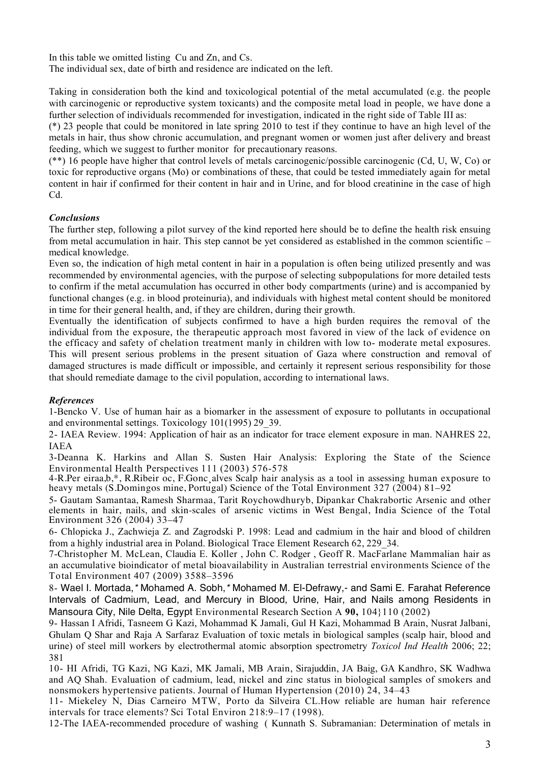In this table we omitted listing Cu and Zn, and Cs.

The individual sex, date of birth and residence are indicated on the left.

Taking in consideration both the kind and toxicological potential of the metal accumulated (e.g. the people with carcinogenic or reproductive system toxicants) and the composite metal load in people, we have done a further selection of individuals recommended for investigation, indicated in the right side of Table III as:

(\*) 23 people that could be monitored in late spring 2010 to test if they continue to have an high level of the metals in hair, thus show chronic accumulation, and pregnant women or women just after delivery and breast feeding, which we suggest to further monitor for precautionary reasons.

(\*\*) 16 people have higher that control levels of metals carcinogenic/possible carcinogenic (Cd, U, W, Co) or toxic for reproductive organs (Mo) or combinations of these, that could be tested immediately again for metal content in hair if confirmed for their content in hair and in Urine, and for blood creatinine in the case of high Cd.

## *Conclusions*

The further step, following a pilot survey of the kind reported here should be to define the health risk ensuing from metal accumulation in hair. This step cannot be yet considered as established in the common scientific – medical knowledge.

Even so, the indication of high metal content in hair in a population is often being utilized presently and was recommended by environmental agencies, with the purpose of selecting subpopulations for more detailed tests to confirm if the metal accumulation has occurred in other body compartments (urine) and is accompanied by functional changes (e.g. in blood proteinuria), and individuals with highest metal content should be monitored in time for their general health, and, if they are children, during their growth.

Eventually the identification of subjects confirmed to have a high burden requires the removal of the individual from the exposure, the therapeutic approach most favored in view of the lack of evidence on the efficacy and safety of chelation treatment manly in children with low to- moderate metal exposures. This will present serious problems in the present situation of Gaza where construction and removal of damaged structures is made difficult or impossible, and certainly it represent serious responsibility for those that should remediate damage to the civil population, according to international laws.

#### *References*

1-Bencko V. Use of human hair as a biomarker in the assessment of exposure to pollutants in occupational and environmental settings. Toxicology 101(1995) 29\_39.

2- IAEA Review. 1994: Application of hair as an indicator for trace element exposure in man. NAHRES 22, IAEA

3-Deanna K. Harkins and Allan S. Susten Hair Analysis: Exploring the State of the Science Environmental Health Perspectives 111 (2003) 576-578

4-R.Per eiraa,b,\*, R.Ribeir oc, F.Gonc¸alves Scalp hair analysis as a tool in assessing human exposure to heavy metals (S.Domingos mine, Portugal) Science of the Total Environment 327 (2004) 81–92

5- Gautam Samantaa, Ramesh Sharmaa, Tarit Roychowdhuryb, Dipankar Chakrabortic Arsenic and other elements in hair, nails, and skin-scales of arsenic victims in West Bengal, India Science of the Total Environment 326 (2004) 33–47

6- Chlopicka J., Zachwieja Z. and Zagrodski P. 1998: Lead and cadmium in the hair and blood of children from a highly industrial area in Poland. Biological Trace Element Research 62, 229\_34.

7-Christopher M. McLean, Claudia E. Koller , John C. Rodger , Geoff R. MacFarlane Mammalian hair as an accumulative bioindicator of metal bioavailability in Australian terrestrial environments Science of the Total Environment 407 (2009) 3588–3596

8- Wael I. Mortada,*\** Mohamed A. Sobh,*\** Mohamed M. El-Defrawy,- and Sami E. Farahat Reference Intervals of Cadmium, Lead, and Mercury in Blood, Urine, Hair, and Nails among Residents in Mansoura City, Nile Delta, Egypt Environmental Research Section A **90,** 104}110 (2002)

9- Hassan I Afridi, Tasneem G Kazi, Mohammad K Jamali, Gul H Kazi, Mohammad B Arain, Nusrat Jalbani, Ghulam Q Shar and Raja A Sarfaraz Evaluation of toxic metals in biological samples (scalp hair, blood and urine) of steel mill workers by electrothermal atomic absorption spectrometry *Toxicol Ind Health* 2006; 22; 381

10- HI Afridi, TG Kazi, NG Kazi, MK Jamali, MB Arain, Sirajuddin, JA Baig, GA Kandhro, SK Wadhwa and AQ Shah. Evaluation of cadmium, lead, nickel and zinc status in biological samples of smokers and nonsmokers hypertensive patients. Journal of Human Hypertension (2010) 24, 34–43

11- Miekeley N, Dias Carneiro MTW, Porto da Silveira CL.How reliable are human hair reference intervals for trace elements? Sci Total Environ 218:9–17 (1998).

12-The IAEA-recommended procedure of washing ( Kunnath S. Subramanian: Determination of metals in